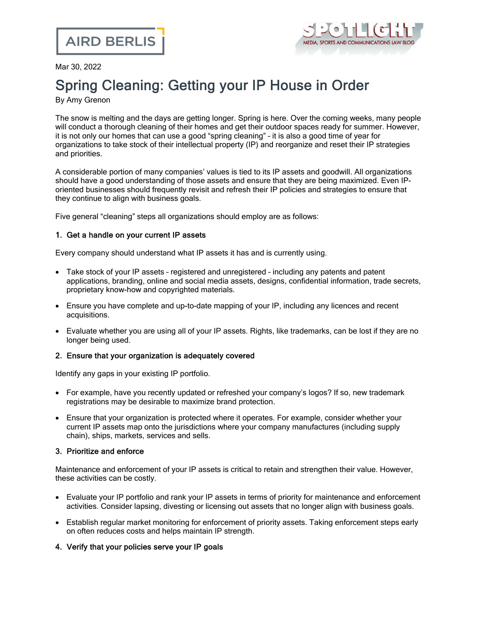

Mar 30, 2022

# Spring Cleaning: Getting your IP House in Order

By Amy Grenon

The snow is melting and the days are getting longer. Spring is here. Over the coming weeks, many people will conduct a thorough cleaning of their homes and get their outdoor spaces ready for summer. However, it is not only our homes that can use a good "spring cleaning" – it is also a good time of year for organizations to take stock of their intellectual property (IP) and reorganize and reset their IP strategies and priorities.

A considerable portion of many companies' values is tied to its IP assets and goodwill. All organizations should have a good understanding of those assets and ensure that they are being maximized. Even IPoriented businesses should frequently revisit and refresh their IP policies and strategies to ensure that they continue to align with business goals.

Five general "cleaning" steps all organizations should employ are as follows:

### 1. Get a handle on your current IP assets

Every company should understand what IP assets it has and is currently using.

- · Take stock of your IP assets registered and unregistered including any patents and patent applications, branding, online and social media assets, designs, confidential information, trade secrets, proprietary know-how and copyrighted materials.
- · Ensure you have complete and up-to-date mapping of your IP, including any licences and recent acquisitions.
- · Evaluate whether you are using all of your IP assets. Rights, like trademarks, can be lost if they are no longer being used.

### 2. Ensure that your organization is adequately covered

Identify any gaps in your existing IP portfolio.

- · For example, have you recently updated or refreshed your company's logos? If so, new trademark registrations may be desirable to maximize brand protection.
- · Ensure that your organization is protected where it operates. For example, consider whether your current IP assets map onto the jurisdictions where your company manufactures (including supply chain), ships, markets, services and sells.

### 3. Prioritize and enforce

Maintenance and enforcement of your IP assets is critical to retain and strengthen their value. However, these activities can be costly.

- · Evaluate your IP portfolio and rank your IP assets in terms of priority for maintenance and enforcement activities. Consider lapsing, divesting or licensing out assets that no longer align with business goals.
- · Establish regular market monitoring for enforcement of priority assets. Taking enforcement steps early on often reduces costs and helps maintain IP strength.

### 4. Verify that your policies serve your IP goals